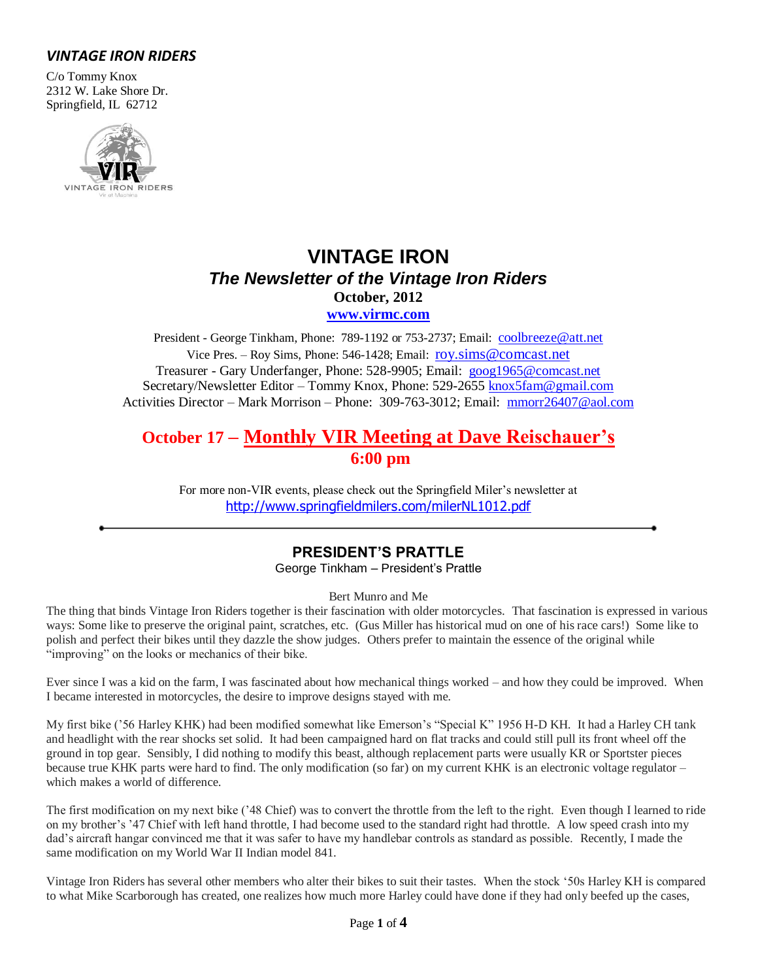# *VINTAGE IRON RIDERS*

C/o Tommy Knox 2312 W. Lake Shore Dr. Springfield, IL 62712



# **VINTAGE IRON** *The Newsletter of the Vintage Iron Riders* **October, 2012 [www.virmc.com](http://www.virmc.com/)**

President - George Tinkham, Phone: 789-1192 or 753-2737; Email: [coolbreeze@att.net](mailto:coolbreeze@att.net) Vice Pres. – Roy Sims, Phone: 546-1428; Email: [roy.sims@comcast.net](mailto:roy.sims@comcast.net) Treasurer - Gary Underfanger, Phone: 528-9905; Email: [goog1965@comcast.net](mailto:goog1965@comcast.net) Secretary/Newsletter Editor – Tommy Knox, Phone: 529-2655 [knox5fam@gmail.com](mailto:knox5fam@gmail.com) Activities Director – Mark Morrison – Phone: 309-763-3012; Email: [mmorr26407@aol.com](mailto:mmorr26407@aol.com)

# **October 17 – Monthly VIR Meeting at Dave Reischauer's 6:00 pm**

For more non-VIR events, please check out the Springfield Miler's newsletter at <http://www.springfieldmilers.com/milerNL1012.pdf>

# **PRESIDENT'S PRATTLE**

George Tinkham – President's Prattle

Bert Munro and Me

The thing that binds Vintage Iron Riders together is their fascination with older motorcycles. That fascination is expressed in various ways: Some like to preserve the original paint, scratches, etc. (Gus Miller has historical mud on one of his race cars!) Some like to polish and perfect their bikes until they dazzle the show judges. Others prefer to maintain the essence of the original while "improving" on the looks or mechanics of their bike.

Ever since I was a kid on the farm, I was fascinated about how mechanical things worked – and how they could be improved. When I became interested in motorcycles, the desire to improve designs stayed with me.

My first bike ('56 Harley KHK) had been modified somewhat like Emerson's "Special K" 1956 H-D KH. It had a Harley CH tank and headlight with the rear shocks set solid. It had been campaigned hard on flat tracks and could still pull its front wheel off the ground in top gear. Sensibly, I did nothing to modify this beast, although replacement parts were usually KR or Sportster pieces because true KHK parts were hard to find. The only modification (so far) on my current KHK is an electronic voltage regulator – which makes a world of difference.

The first modification on my next bike ('48 Chief) was to convert the throttle from the left to the right. Even though I learned to ride on my brother's '47 Chief with left hand throttle, I had become used to the standard right had throttle. A low speed crash into my dad's aircraft hangar convinced me that it was safer to have my handlebar controls as standard as possible. Recently, I made the same modification on my World War II Indian model 841.

Vintage Iron Riders has several other members who alter their bikes to suit their tastes. When the stock '50s Harley KH is compared to what Mike Scarborough has created, one realizes how much more Harley could have done if they had only beefed up the cases,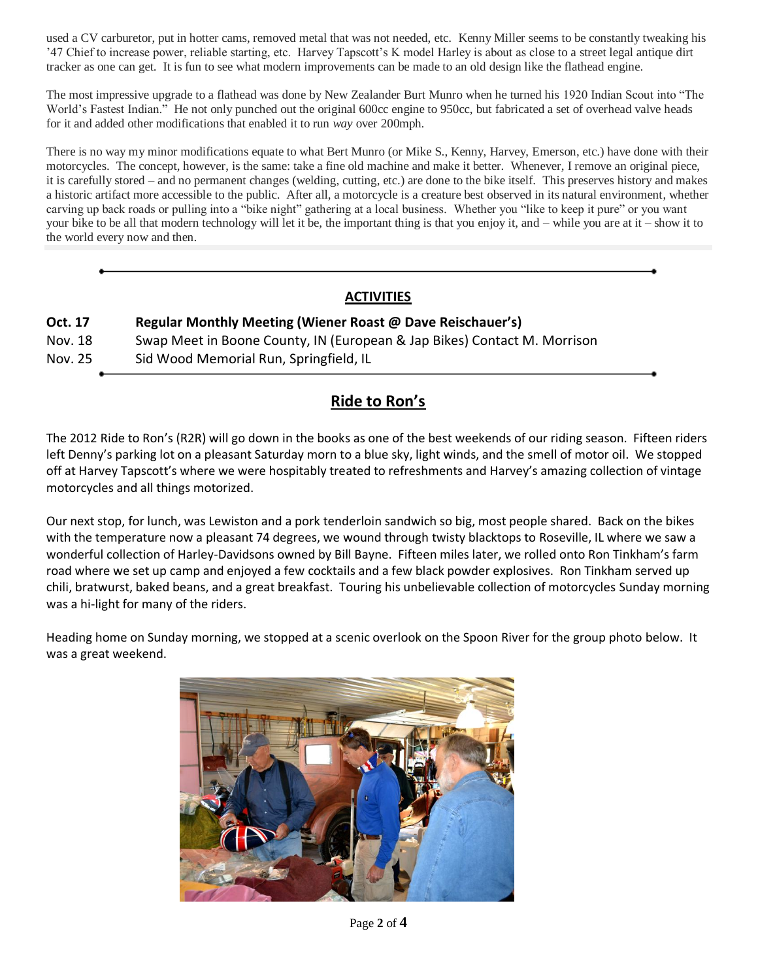used a CV carburetor, put in hotter cams, removed metal that was not needed, etc. Kenny Miller seems to be constantly tweaking his '47 Chief to increase power, reliable starting, etc. Harvey Tapscott's K model Harley is about as close to a street legal antique dirt tracker as one can get. It is fun to see what modern improvements can be made to an old design like the flathead engine.

The most impressive upgrade to a flathead was done by New Zealander Burt Munro when he turned his 1920 Indian Scout into "The World's Fastest Indian." He not only punched out the original 600cc engine to 950cc, but fabricated a set of overhead valve heads for it and added other modifications that enabled it to run *way* over 200mph.

There is no way my minor modifications equate to what Bert Munro (or Mike S., Kenny, Harvey, Emerson, etc.) have done with their motorcycles. The concept, however, is the same: take a fine old machine and make it better. Whenever, I remove an original piece, it is carefully stored – and no permanent changes (welding, cutting, etc.) are done to the bike itself. This preserves history and makes a historic artifact more accessible to the public. After all, a motorcycle is a creature best observed in its natural environment, whether carving up back roads or pulling into a "bike night" gathering at a local business. Whether you "like to keep it pure" or you want your bike to be all that modern technology will let it be, the important thing is that you enjoy it, and – while you are at it – show it to the world every now and then.

## **ACTIVITIES**

## **Oct. 17 Regular Monthly Meeting (Wiener Roast @ Dave Reischauer's)**

| Nov. 18 | Swap Meet in Boone County, IN (European & Jap Bikes) Contact M. Morrison |
|---------|--------------------------------------------------------------------------|
|---------|--------------------------------------------------------------------------|

Nov. 25 Sid Wood Memorial Run, Springfield, IL

# **Ride to Ron's**

The 2012 Ride to Ron's (R2R) will go down in the books as one of the best weekends of our riding season. Fifteen riders left Denny's parking lot on a pleasant Saturday morn to a blue sky, light winds, and the smell of motor oil. We stopped off at Harvey Tapscott's where we were hospitably treated to refreshments and Harvey's amazing collection of vintage motorcycles and all things motorized.

Our next stop, for lunch, was Lewiston and a pork tenderloin sandwich so big, most people shared. Back on the bikes with the temperature now a pleasant 74 degrees, we wound through twisty blacktops to Roseville, IL where we saw a wonderful collection of Harley-Davidsons owned by Bill Bayne. Fifteen miles later, we rolled onto Ron Tinkham's farm road where we set up camp and enjoyed a few cocktails and a few black powder explosives. Ron Tinkham served up chili, bratwurst, baked beans, and a great breakfast. Touring his unbelievable collection of motorcycles Sunday morning was a hi-light for many of the riders.

Heading home on Sunday morning, we stopped at a scenic overlook on the Spoon River for the group photo below. It was a great weekend.

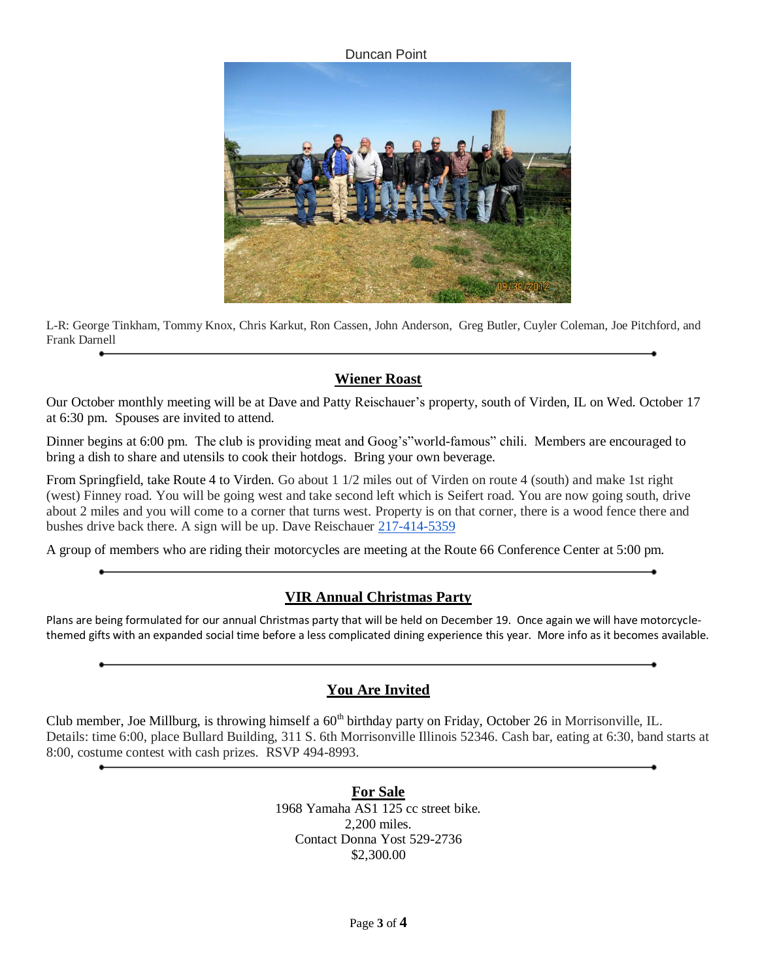Duncan Point



L-R: George Tinkham, Tommy Knox, Chris Karkut, Ron Cassen, John Anderson, Greg Butler, Cuyler Coleman, Joe Pitchford, and Frank Darnell

### **Wiener Roast**

Our October monthly meeting will be at Dave and Patty Reischauer's property, south of Virden, IL on Wed. October 17 at 6:30 pm. Spouses are invited to attend.

Dinner begins at 6:00 pm. The club is providing meat and Goog's"world-famous" chili. Members are encouraged to bring a dish to share and utensils to cook their hotdogs. Bring your own beverage.

From Springfield, take Route 4 to Virden. Go about 1 1/2 miles out of Virden on route 4 (south) and make 1st right (west) Finney road. You will be going west and take second left which is Seifert road. You are now going south, drive about 2 miles and you will come to a corner that turns west. Property is on that corner, there is a wood fence there and bushes drive back there. A sign will be up. Dave Reischauer [217-414-5359](tel:217-414-5359)

A group of members who are riding their motorcycles are meeting at the Route 66 Conference Center at 5:00 pm.

### **VIR Annual Christmas Party**

Plans are being formulated for our annual Christmas party that will be held on December 19. Once again we will have motorcyclethemed gifts with an expanded social time before a less complicated dining experience this year. More info as it becomes available.

### **You Are Invited**

Club member, Joe Millburg, is throwing himself a  $60<sup>th</sup>$  birthday party on Friday, October 26 in Morrisonville, IL. Details: time 6:00, place Bullard Building, 311 S. 6th Morrisonville Illinois 52346. Cash bar, eating at 6:30, band starts at 8:00, costume contest with cash prizes. RSVP 494-8993.

> **For Sale** 1968 Yamaha AS1 125 cc street bike. 2,200 miles. Contact Donna Yost 529-2736 \$2,300.00